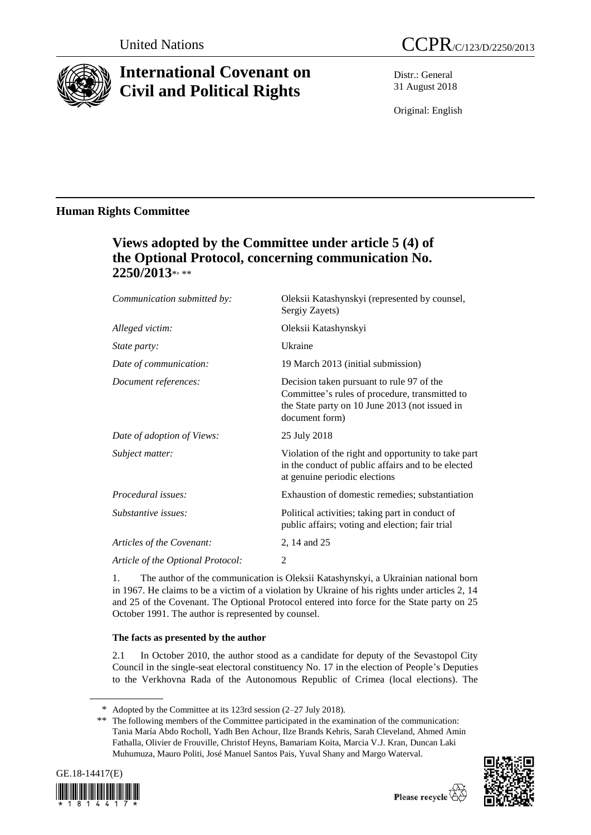

# **International Covenant on Civil and Political Rights**

Distr.: General 31 August 2018

Original: English

### **Human Rights Committee**

## **Views adopted by the Committee under article 5 (4) of the Optional Protocol, concerning communication No. 2250/2013**\* , \*\*

| Communication submitted by:       | Oleksii Katashynskyi (represented by counsel,<br>Sergiy Zayets)                                                                                                 |  |
|-----------------------------------|-----------------------------------------------------------------------------------------------------------------------------------------------------------------|--|
| Alleged victim:                   | Oleksii Katashynskyi                                                                                                                                            |  |
| <i>State party:</i>               | Ukraine                                                                                                                                                         |  |
| Date of communication:            | 19 March 2013 (initial submission)                                                                                                                              |  |
| Document references:              | Decision taken pursuant to rule 97 of the<br>Committee's rules of procedure, transmitted to<br>the State party on 10 June 2013 (not issued in<br>document form) |  |
| Date of adoption of Views:        | 25 July 2018                                                                                                                                                    |  |
| Subject matter:                   | Violation of the right and opportunity to take part<br>in the conduct of public affairs and to be elected<br>at genuine periodic elections                      |  |
| Procedural issues:                | Exhaustion of domestic remedies; substantiation                                                                                                                 |  |
| Substantive issues:               | Political activities; taking part in conduct of<br>public affairs; voting and election; fair trial                                                              |  |
| Articles of the Covenant:         | 2, 14 and 25                                                                                                                                                    |  |
| Article of the Optional Protocol: | 2                                                                                                                                                               |  |

1. The author of the communication is Oleksii Katashynskyi, a Ukrainian national born in 1967. He claims to be a victim of a violation by Ukraine of his rights under articles 2, 14 and 25 of the Covenant. The Optional Protocol entered into force for the State party on 25 October 1991. The author is represented by counsel.

### **The facts as presented by the author**

2.1 In October 2010, the author stood as a candidate for deputy of the Sevastopol City Council in the single-seat electoral constituency No. 17 in the election of People's Deputies to the Verkhovna Rada of the Autonomous Republic of Crimea (local elections). The

<sup>\*\*</sup> The following members of the Committee participated in the examination of the communication: Tania María Abdo Rocholl, Yadh Ben Achour, Ilze Brands Kehris, Sarah Cleveland, Ahmed Amin Fathalla, Olivier de Frouville, Christof Heyns, Bamariam Koita, Marcia V.J. Kran, Duncan Laki Muhumuza, Mauro Politi, José Manuel Santos Pais, Yuval Shany and Margo Waterval.





<sup>\*</sup> Adopted by the Committee at its 123rd session (2–27 July 2018).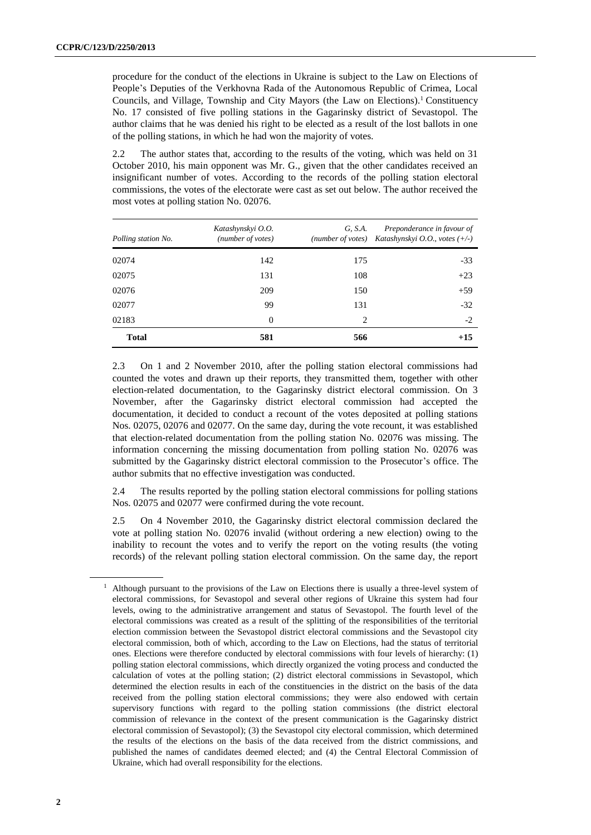procedure for the conduct of the elections in Ukraine is subject to the Law on Elections of People's Deputies of the Verkhovna Rada of the Autonomous Republic of Crimea, Local Councils, and Village, Township and City Mayors (the Law on Elections).<sup>1</sup> Constituency No. 17 consisted of five polling stations in the Gagarinsky district of Sevastopol. The author claims that he was denied his right to be elected as a result of the lost ballots in one of the polling stations, in which he had won the majority of votes.

2.2 The author states that, according to the results of the voting, which was held on 31 October 2010, his main opponent was Mr. G., given that the other candidates received an insignificant number of votes. According to the records of the polling station electoral commissions, the votes of the electorate were cast as set out below. The author received the most votes at polling station No. 02076.

| Polling station No. | Katashynskyi O.O.<br>(number of votes) | G, S.A.                     | Preponderance in favour of<br>(number of votes) Katashynskyi O.O., votes $(+/-)$ |
|---------------------|----------------------------------------|-----------------------------|----------------------------------------------------------------------------------|
| 02074               | 142                                    | 175                         | $-33$                                                                            |
| 02075               | 131                                    | 108                         | $+23$                                                                            |
| 02076               | 209                                    | 150                         | $+59$                                                                            |
| 02077               | 99                                     | 131                         | $-32$                                                                            |
| 02183               | $\Omega$                               | $\mathcal{D}_{\mathcal{L}}$ | $-2$                                                                             |
| <b>Total</b>        | 581                                    | 566                         | $+15$                                                                            |

2.3 On 1 and 2 November 2010, after the polling station electoral commissions had counted the votes and drawn up their reports, they transmitted them, together with other election-related documentation, to the Gagarinsky district electoral commission. On 3 November, after the Gagarinsky district electoral commission had accepted the documentation, it decided to conduct a recount of the votes deposited at polling stations Nos. 02075, 02076 and 02077. On the same day, during the vote recount, it was established that election-related documentation from the polling station No. 02076 was missing. The information concerning the missing documentation from polling station No. 02076 was submitted by the Gagarinsky district electoral commission to the Prosecutor's office. The author submits that no effective investigation was conducted.

2.4 The results reported by the polling station electoral commissions for polling stations Nos. 02075 and 02077 were confirmed during the vote recount.

2.5 On 4 November 2010, the Gagarinsky district electoral commission declared the vote at polling station No. 02076 invalid (without ordering a new election) owing to the inability to recount the votes and to verify the report on the voting results (the voting records) of the relevant polling station electoral commission. On the same day, the report

 $<sup>1</sup>$  Although pursuant to the provisions of the Law on Elections there is usually a three-level system of</sup> electoral commissions, for Sevastopol and several other regions of Ukraine this system had four levels, owing to the administrative arrangement and status of Sevastopol. The fourth level of the electoral commissions was created as a result of the splitting of the responsibilities of the territorial election commission between the Sevastopol district electoral commissions and the Sevastopol city electoral commission, both of which, according to the Law on Elections, had the status of territorial ones. Elections were therefore conducted by electoral commissions with four levels of hierarchy: (1) polling station electoral commissions, which directly organized the voting process and conducted the calculation of votes at the polling station; (2) district electoral commissions in Sevastopol, which determined the election results in each of the constituencies in the district on the basis of the data received from the polling station electoral commissions; they were also endowed with certain supervisory functions with regard to the polling station commissions (the district electoral commission of relevance in the context of the present communication is the Gagarinsky district electoral commission of Sevastopol); (3) the Sevastopol city electoral commission, which determined the results of the elections on the basis of the data received from the district commissions, and published the names of candidates deemed elected; and (4) the Central Electoral Commission of Ukraine, which had overall responsibility for the elections.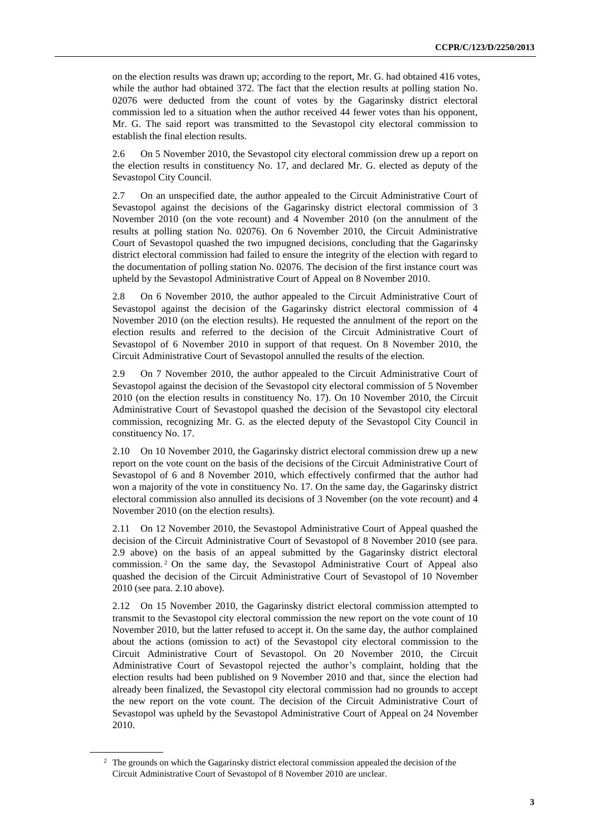on the election results was drawn up; according to the report, Mr. G. had obtained 416 votes, while the author had obtained 372. The fact that the election results at polling station No. 02076 were deducted from the count of votes by the Gagarinsky district electoral commission led to a situation when the author received 44 fewer votes than his opponent, Mr. G. The said report was transmitted to the Sevastopol city electoral commission to establish the final election results.

2.6 On 5 November 2010, the Sevastopol city electoral commission drew up a report on the election results in constituency No. 17, and declared Mr. G. elected as deputy of the Sevastopol City Council.

2.7 On an unspecified date, the author appealed to the Circuit Administrative Court of Sevastopol against the decisions of the Gagarinsky district electoral commission of 3 November 2010 (on the vote recount) and 4 November 2010 (on the annulment of the results at polling station No. 02076). On 6 November 2010, the Circuit Administrative Court of Sevastopol quashed the two impugned decisions, concluding that the Gagarinsky district electoral commission had failed to ensure the integrity of the election with regard to the documentation of polling station No. 02076. The decision of the first instance court was upheld by the Sevastopol Administrative Court of Appeal on 8 November 2010.

2.8 On 6 November 2010, the author appealed to the Circuit Administrative Court of Sevastopol against the decision of the Gagarinsky district electoral commission of 4 November 2010 (on the election results). He requested the annulment of the report on the election results and referred to the decision of the Circuit Administrative Court of Sevastopol of 6 November 2010 in support of that request. On 8 November 2010, the Circuit Administrative Court of Sevastopol annulled the results of the election.

2.9 On 7 November 2010, the author appealed to the Circuit Administrative Court of Sevastopol against the decision of the Sevastopol city electoral commission of 5 November 2010 (on the election results in constituency No. 17). On 10 November 2010, the Circuit Administrative Court of Sevastopol quashed the decision of the Sevastopol city electoral commission, recognizing Mr. G. as the elected deputy of the Sevastopol City Council in constituency No. 17.

2.10 On 10 November 2010, the Gagarinsky district electoral commission drew up a new report on the vote count on the basis of the decisions of the Circuit Administrative Court of Sevastopol of 6 and 8 November 2010, which effectively confirmed that the author had won a majority of the vote in constituency No. 17. On the same day, the Gagarinsky district electoral commission also annulled its decisions of 3 November (on the vote recount) and 4 November 2010 (on the election results).

2.11 On 12 November 2010, the Sevastopol Administrative Court of Appeal quashed the decision of the Circuit Administrative Court of Sevastopol of 8 November 2010 (see para. 2.9 above) on the basis of an appeal submitted by the Gagarinsky district electoral commission. <sup>2</sup> On the same day, the Sevastopol Administrative Court of Appeal also quashed the decision of the Circuit Administrative Court of Sevastopol of 10 November 2010 (see para. 2.10 above).

2.12 On 15 November 2010, the Gagarinsky district electoral commission attempted to transmit to the Sevastopol city electoral commission the new report on the vote count of 10 November 2010, but the latter refused to accept it. On the same day, the author complained about the actions (omission to act) of the Sevastopol city electoral commission to the Circuit Administrative Court of Sevastopol. On 20 November 2010, the Circuit Administrative Court of Sevastopol rejected the author's complaint, holding that the election results had been published on 9 November 2010 and that, since the election had already been finalized, the Sevastopol city electoral commission had no grounds to accept the new report on the vote count. The decision of the Circuit Administrative Court of Sevastopol was upheld by the Sevastopol Administrative Court of Appeal on 24 November 2010.

<sup>&</sup>lt;sup>2</sup> The grounds on which the Gagarinsky district electoral commission appealed the decision of the Circuit Administrative Court of Sevastopol of 8 November 2010 are unclear.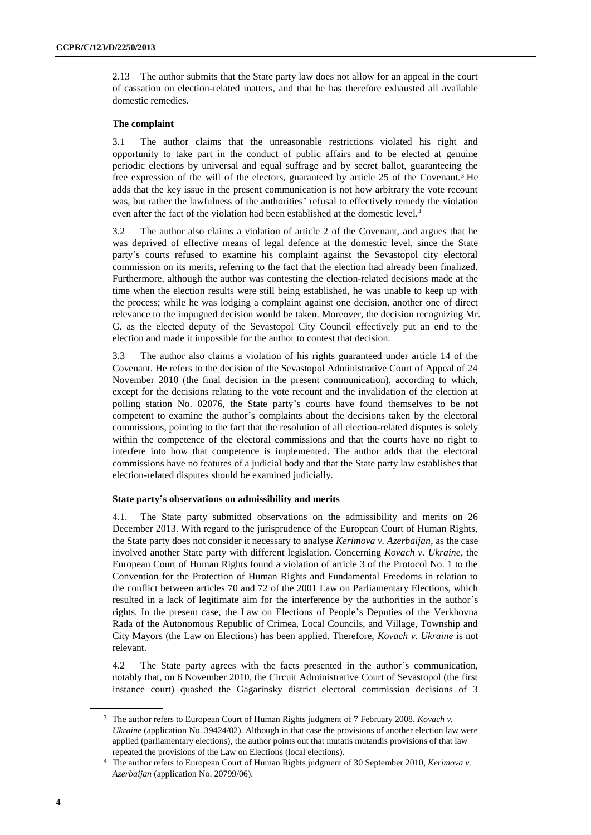2.13 The author submits that the State party law does not allow for an appeal in the court of cassation on election-related matters, and that he has therefore exhausted all available domestic remedies.

#### **The complaint**

3.1 The author claims that the unreasonable restrictions violated his right and opportunity to take part in the conduct of public affairs and to be elected at genuine periodic elections by universal and equal suffrage and by secret ballot, guaranteeing the free expression of the will of the electors, guaranteed by article 25 of the Covenant.<sup>3</sup> He adds that the key issue in the present communication is not how arbitrary the vote recount was, but rather the lawfulness of the authorities' refusal to effectively remedy the violation even after the fact of the violation had been established at the domestic level.<sup>4</sup>

3.2 The author also claims a violation of article 2 of the Covenant, and argues that he was deprived of effective means of legal defence at the domestic level, since the State party's courts refused to examine his complaint against the Sevastopol city electoral commission on its merits, referring to the fact that the election had already been finalized. Furthermore, although the author was contesting the election-related decisions made at the time when the election results were still being established, he was unable to keep up with the process; while he was lodging a complaint against one decision, another one of direct relevance to the impugned decision would be taken. Moreover, the decision recognizing Mr. G. as the elected deputy of the Sevastopol City Council effectively put an end to the election and made it impossible for the author to contest that decision.

3.3 The author also claims a violation of his rights guaranteed under article 14 of the Covenant. He refers to the decision of the Sevastopol Administrative Court of Appeal of 24 November 2010 (the final decision in the present communication), according to which, except for the decisions relating to the vote recount and the invalidation of the election at polling station No. 02076, the State party's courts have found themselves to be not competent to examine the author's complaints about the decisions taken by the electoral commissions, pointing to the fact that the resolution of all election-related disputes is solely within the competence of the electoral commissions and that the courts have no right to interfere into how that competence is implemented. The author adds that the electoral commissions have no features of a judicial body and that the State party law establishes that election-related disputes should be examined judicially.

#### **State party's observations on admissibility and merits**

4.1. The State party submitted observations on the admissibility and merits on 26 December 2013. With regard to the jurisprudence of the European Court of Human Rights, the State party does not consider it necessary to analyse *Kerimova v. Azerbaijan*, as the case involved another State party with different legislation. Concerning *Kovach v. Ukraine*, the European Court of Human Rights found a violation of article 3 of the Protocol No. 1 to the Convention for the Protection of Human Rights and Fundamental Freedoms in relation to the conflict between articles 70 and 72 of the 2001 Law on Parliamentary Elections, which resulted in a lack of legitimate aim for the interference by the authorities in the author's rights. In the present case, the Law on Elections of People's Deputies of the Verkhovna Rada of the Autonomous Republic of Crimea, Local Councils, and Village, Township and City Mayors (the Law on Elections) has been applied. Therefore, *Kovach v. Ukraine* is not relevant.

4.2 The State party agrees with the facts presented in the author's communication, notably that, on 6 November 2010, the Circuit Administrative Court of Sevastopol (the first instance court) quashed the Gagarinsky district electoral commission decisions of 3

<sup>3</sup> The author refers to European Court of Human Rights judgment of 7 February 2008, *Kovach v. Ukraine* (application No. 39424/02). Although in that case the provisions of another election law were applied (parliamentary elections), the author points out that mutatis mutandis provisions of that law repeated the provisions of the Law on Elections (local elections).

<sup>4</sup> The author refers to European Court of Human Rights judgment of 30 September 2010, *Kerimova v. Azerbaijan* (application No. 20799/06).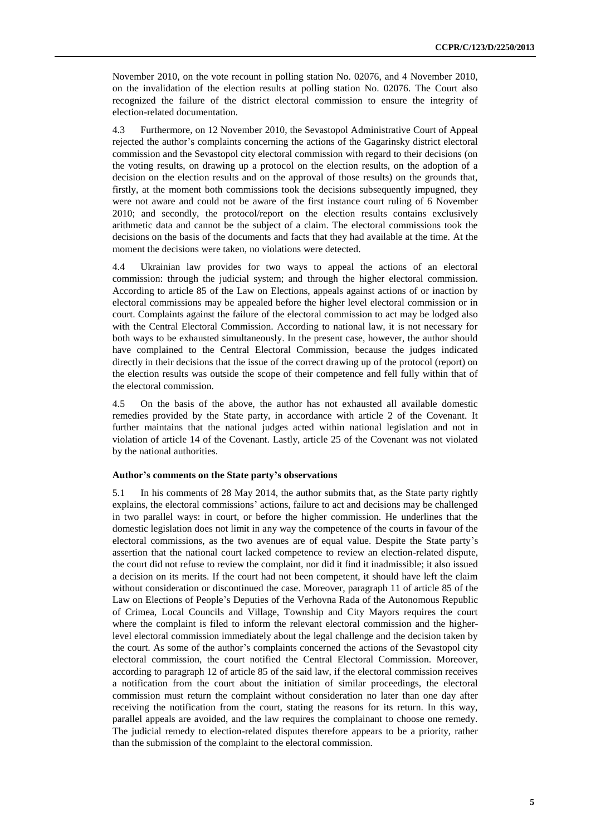November 2010, on the vote recount in polling station No. 02076, and 4 November 2010, on the invalidation of the election results at polling station No. 02076. The Court also recognized the failure of the district electoral commission to ensure the integrity of election-related documentation.

4.3 Furthermore, on 12 November 2010, the Sevastopol Administrative Court of Appeal rejected the author's complaints concerning the actions of the Gagarinsky district electoral commission and the Sevastopol city electoral commission with regard to their decisions (on the voting results, on drawing up a protocol on the election results, on the adoption of a decision on the election results and on the approval of those results) on the grounds that, firstly, at the moment both commissions took the decisions subsequently impugned, they were not aware and could not be aware of the first instance court ruling of 6 November 2010; and secondly, the protocol/report on the election results contains exclusively arithmetic data and cannot be the subject of a claim. The electoral commissions took the decisions on the basis of the documents and facts that they had available at the time. At the moment the decisions were taken, no violations were detected.

4.4 Ukrainian law provides for two ways to appeal the actions of an electoral commission: through the judicial system; and through the higher electoral commission. According to article 85 of the Law on Elections, appeals against actions of or inaction by electoral commissions may be appealed before the higher level electoral commission or in court. Complaints against the failure of the electoral commission to act may be lodged also with the Central Electoral Commission. According to national law, it is not necessary for both ways to be exhausted simultaneously. In the present case, however, the author should have complained to the Central Electoral Commission, because the judges indicated directly in their decisions that the issue of the correct drawing up of the protocol (report) on the election results was outside the scope of their competence and fell fully within that of the electoral commission.

4.5 On the basis of the above, the author has not exhausted all available domestic remedies provided by the State party, in accordance with article 2 of the Covenant. It further maintains that the national judges acted within national legislation and not in violation of article 14 of the Covenant. Lastly, article 25 of the Covenant was not violated by the national authorities.

#### **Author's comments on the State party's observations**

5.1 In his comments of 28 May 2014, the author submits that, as the State party rightly explains, the electoral commissions' actions, failure to act and decisions may be challenged in two parallel ways: in court, or before the higher commission. He underlines that the domestic legislation does not limit in any way the competence of the courts in favour of the electoral commissions, as the two avenues are of equal value. Despite the State party's assertion that the national court lacked competence to review an election-related dispute, the court did not refuse to review the complaint, nor did it find it inadmissible; it also issued a decision on its merits. If the court had not been competent, it should have left the claim without consideration or discontinued the case. Moreover, paragraph 11 of article 85 of the Law on Elections of People's Deputies of the Verhovna Rada of the Autonomous Republic of Crimea, Local Councils and Village, Township and City Mayors requires the court where the complaint is filed to inform the relevant electoral commission and the higherlevel electoral commission immediately about the legal challenge and the decision taken by the court. As some of the author's complaints concerned the actions of the Sevastopol city electoral commission, the court notified the Central Electoral Commission. Moreover, according to paragraph 12 of article 85 of the said law, if the electoral commission receives a notification from the court about the initiation of similar proceedings, the electoral commission must return the complaint without consideration no later than one day after receiving the notification from the court, stating the reasons for its return. In this way, parallel appeals are avoided, and the law requires the complainant to choose one remedy. The judicial remedy to election-related disputes therefore appears to be a priority, rather than the submission of the complaint to the electoral commission.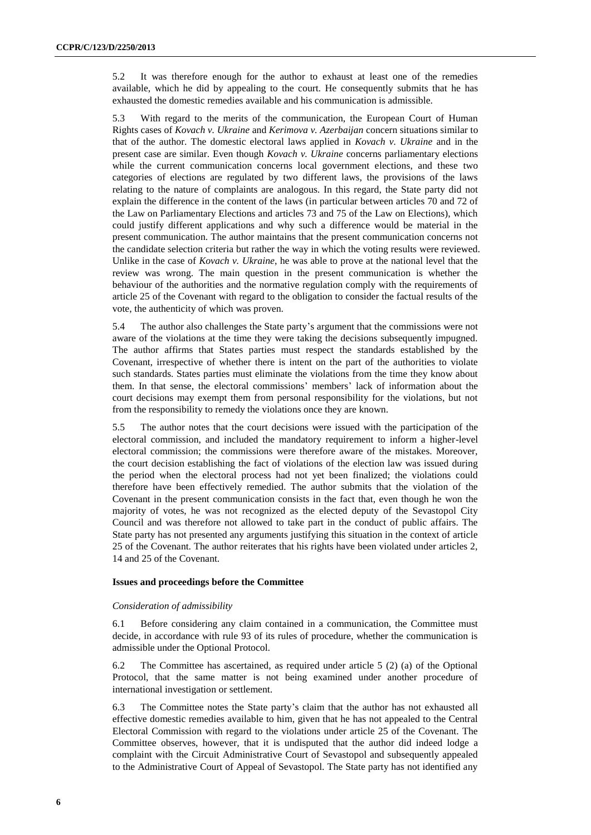5.2 It was therefore enough for the author to exhaust at least one of the remedies available, which he did by appealing to the court. He consequently submits that he has exhausted the domestic remedies available and his communication is admissible.

5.3 With regard to the merits of the communication, the European Court of Human Rights cases of *Kovach v. Ukraine* and *Kerimova v. Azerbaijan* concern situations similar to that of the author. The domestic electoral laws applied in *Kovach v. Ukraine* and in the present case are similar. Even though *Kovach v. Ukraine* concerns parliamentary elections while the current communication concerns local government elections, and these two categories of elections are regulated by two different laws, the provisions of the laws relating to the nature of complaints are analogous. In this regard, the State party did not explain the difference in the content of the laws (in particular between articles 70 and 72 of the Law on Parliamentary Elections and articles 73 and 75 of the Law on Elections), which could justify different applications and why such a difference would be material in the present communication. The author maintains that the present communication concerns not the candidate selection criteria but rather the way in which the voting results were reviewed. Unlike in the case of *Kovach v. Ukraine*, he was able to prove at the national level that the review was wrong. The main question in the present communication is whether the behaviour of the authorities and the normative regulation comply with the requirements of article 25 of the Covenant with regard to the obligation to consider the factual results of the vote, the authenticity of which was proven.

5.4 The author also challenges the State party's argument that the commissions were not aware of the violations at the time they were taking the decisions subsequently impugned. The author affirms that States parties must respect the standards established by the Covenant, irrespective of whether there is intent on the part of the authorities to violate such standards. States parties must eliminate the violations from the time they know about them. In that sense, the electoral commissions' members' lack of information about the court decisions may exempt them from personal responsibility for the violations, but not from the responsibility to remedy the violations once they are known.

5.5 The author notes that the court decisions were issued with the participation of the electoral commission, and included the mandatory requirement to inform a higher-level electoral commission; the commissions were therefore aware of the mistakes. Moreover, the court decision establishing the fact of violations of the election law was issued during the period when the electoral process had not yet been finalized; the violations could therefore have been effectively remedied. The author submits that the violation of the Covenant in the present communication consists in the fact that, even though he won the majority of votes, he was not recognized as the elected deputy of the Sevastopol City Council and was therefore not allowed to take part in the conduct of public affairs. The State party has not presented any arguments justifying this situation in the context of article 25 of the Covenant. The author reiterates that his rights have been violated under articles 2, 14 and 25 of the Covenant.

#### **Issues and proceedings before the Committee**

#### *Consideration of admissibility*

6.1 Before considering any claim contained in a communication, the Committee must decide, in accordance with rule 93 of its rules of procedure, whether the communication is admissible under the Optional Protocol.

6.2 The Committee has ascertained, as required under article 5 (2) (a) of the Optional Protocol, that the same matter is not being examined under another procedure of international investigation or settlement.

6.3 The Committee notes the State party's claim that the author has not exhausted all effective domestic remedies available to him, given that he has not appealed to the Central Electoral Commission with regard to the violations under article 25 of the Covenant. The Committee observes, however, that it is undisputed that the author did indeed lodge a complaint with the Circuit Administrative Court of Sevastopol and subsequently appealed to the Administrative Court of Appeal of Sevastopol. The State party has not identified any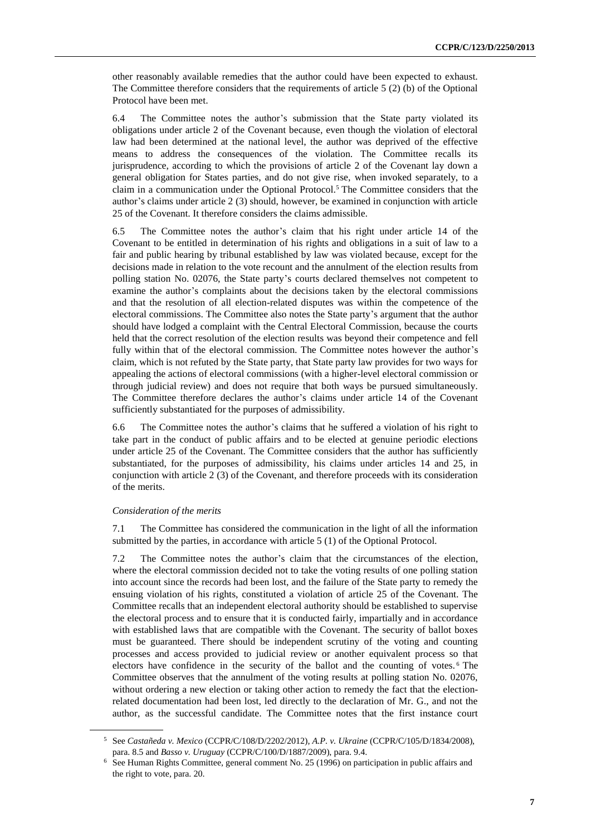other reasonably available remedies that the author could have been expected to exhaust. The Committee therefore considers that the requirements of article 5 (2) (b) of the Optional Protocol have been met.

6.4 The Committee notes the author's submission that the State party violated its obligations under article 2 of the Covenant because, even though the violation of electoral law had been determined at the national level, the author was deprived of the effective means to address the consequences of the violation. The Committee recalls its jurisprudence, according to which the provisions of article 2 of the Covenant lay down a general obligation for States parties, and do not give rise, when invoked separately, to a claim in a communication under the Optional Protocol.<sup>5</sup> The Committee considers that the author's claims under article 2 (3) should, however, be examined in conjunction with article 25 of the Covenant. It therefore considers the claims admissible.

6.5 The Committee notes the author's claim that his right under article 14 of the Covenant to be entitled in determination of his rights and obligations in a suit of law to a fair and public hearing by tribunal established by law was violated because, except for the decisions made in relation to the vote recount and the annulment of the election results from polling station No. 02076, the State party's courts declared themselves not competent to examine the author's complaints about the decisions taken by the electoral commissions and that the resolution of all election-related disputes was within the competence of the electoral commissions. The Committee also notes the State party's argument that the author should have lodged a complaint with the Central Electoral Commission, because the courts held that the correct resolution of the election results was beyond their competence and fell fully within that of the electoral commission. The Committee notes however the author's claim, which is not refuted by the State party, that State party law provides for two ways for appealing the actions of electoral commissions (with a higher-level electoral commission or through judicial review) and does not require that both ways be pursued simultaneously. The Committee therefore declares the author's claims under article 14 of the Covenant sufficiently substantiated for the purposes of admissibility.

6.6 The Committee notes the author's claims that he suffered a violation of his right to take part in the conduct of public affairs and to be elected at genuine periodic elections under article 25 of the Covenant. The Committee considers that the author has sufficiently substantiated, for the purposes of admissibility, his claims under articles 14 and 25, in conjunction with article 2 (3) of the Covenant, and therefore proceeds with its consideration of the merits.

#### *Consideration of the merits*

7.1 The Committee has considered the communication in the light of all the information submitted by the parties, in accordance with article 5 (1) of the Optional Protocol.

7.2 The Committee notes the author's claim that the circumstances of the election, where the electoral commission decided not to take the voting results of one polling station into account since the records had been lost, and the failure of the State party to remedy the ensuing violation of his rights, constituted a violation of article 25 of the Covenant. The Committee recalls that an independent electoral authority should be established to supervise the electoral process and to ensure that it is conducted fairly, impartially and in accordance with established laws that are compatible with the Covenant. The security of ballot boxes must be guaranteed. There should be independent scrutiny of the voting and counting processes and access provided to judicial review or another equivalent process so that electors have confidence in the security of the ballot and the counting of votes. <sup>6</sup> The Committee observes that the annulment of the voting results at polling station No. 02076, without ordering a new election or taking other action to remedy the fact that the electionrelated documentation had been lost, led directly to the declaration of Mr. G., and not the author, as the successful candidate. The Committee notes that the first instance court

<sup>5</sup> See *Castañeda v. Mexico* (CCPR/C/108/D/2202/2012), *A.P. v. Ukraine* (CCPR/C/105/D/1834/2008), para. 8.5 and *Basso v. Uruguay* (CCPR/C/100/D/1887/2009), para. 9.4.

<sup>6</sup> See Human Rights Committee, general comment No. 25 (1996) on participation in public affairs and the right to vote, para. 20.